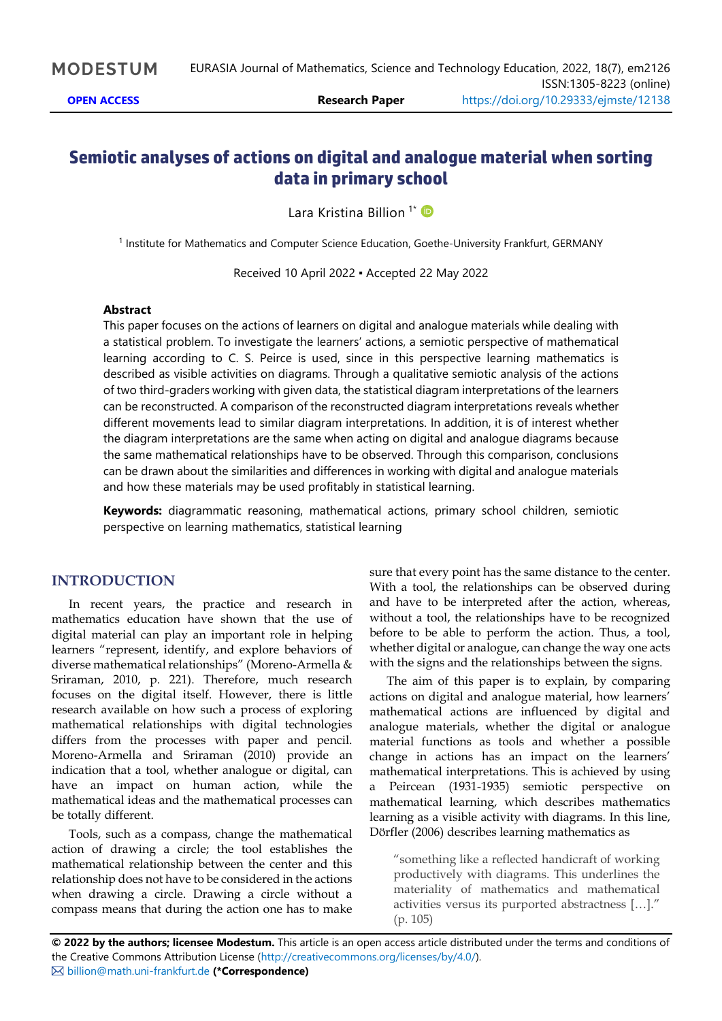## **Semiotic analyses of actions on digital and analogue material when sorting data in primary school**

Lara Kristina Billion<sup>1\*</sup>

1 Institute for Mathematics and Computer Science Education, Goethe-University Frankfurt, GERMANY

Received 10 April 2022 ▪ Accepted 22 May 2022

#### **Abstract**

This paper focuses on the actions of learners on digital and analogue materials while dealing with a statistical problem. To investigate the learners' actions, a semiotic perspective of mathematical learning according to C. S. Peirce is used, since in this perspective learning mathematics is described as visible activities on diagrams. Through a qualitative semiotic analysis of the actions of two third-graders working with given data, the statistical diagram interpretations of the learners can be reconstructed. A comparison of the reconstructed diagram interpretations reveals whether different movements lead to similar diagram interpretations. In addition, it is of interest whether the diagram interpretations are the same when acting on digital and analogue diagrams because the same mathematical relationships have to be observed. Through this comparison, conclusions can be drawn about the similarities and differences in working with digital and analogue materials and how these materials may be used profitably in statistical learning.

**Keywords:** diagrammatic reasoning, mathematical actions, primary school children, semiotic perspective on learning mathematics, statistical learning

## **INTRODUCTION**

In recent years, the practice and research in mathematics education have shown that the use of digital material can play an important role in helping learners "represent, identify, and explore behaviors of diverse mathematical relationships" (Moreno-Armella & Sriraman, 2010, p. 221). Therefore, much research focuses on the digital itself. However, there is little research available on how such a process of exploring mathematical relationships with digital technologies differs from the processes with paper and pencil. Moreno-Armella and Sriraman (2010) provide an indication that a tool, whether analogue or digital, can have an impact on human action, while the mathematical ideas and the mathematical processes can be totally different.

Tools, such as a compass, change the mathematical action of drawing a circle; the tool establishes the mathematical relationship between the center and this relationship does not have to be considered in the actions when drawing a circle. Drawing a circle without a compass means that during the action one has to make sure that every point has the same distance to the center. With a tool, the relationships can be observed during and have to be interpreted after the action, whereas, without a tool, the relationships have to be recognized before to be able to perform the action. Thus, a tool, whether digital or analogue, can change the way one acts with the signs and the relationships between the signs.

The aim of this paper is to explain, by comparing actions on digital and analogue material, how learners' mathematical actions are influenced by digital and analogue materials, whether the digital or analogue material functions as tools and whether a possible change in actions has an impact on the learners' mathematical interpretations. This is achieved by using a Peircean (1931-1935) semiotic perspective on mathematical learning, which describes mathematics learning as a visible activity with diagrams. In this line, Dörfler (2006) describes learning mathematics as

"something like a reflected handicraft of working productively with diagrams. This underlines the materiality of mathematics and mathematical activities versus its purported abstractness […]." (p. 105)

**© 2022 by the authors; licensee Modestum.** This article is an open access article distributed under the terms and conditions of the Creative Commons Attribution License [\(http://creativecommons.org/licenses/by/4.0/\)](http://creativecommons.org/licenses/by/4.0/). [billion@math.uni-frankfurt.de](mailto:billion@math.uni-frankfurt.de) **(\*Correspondence)**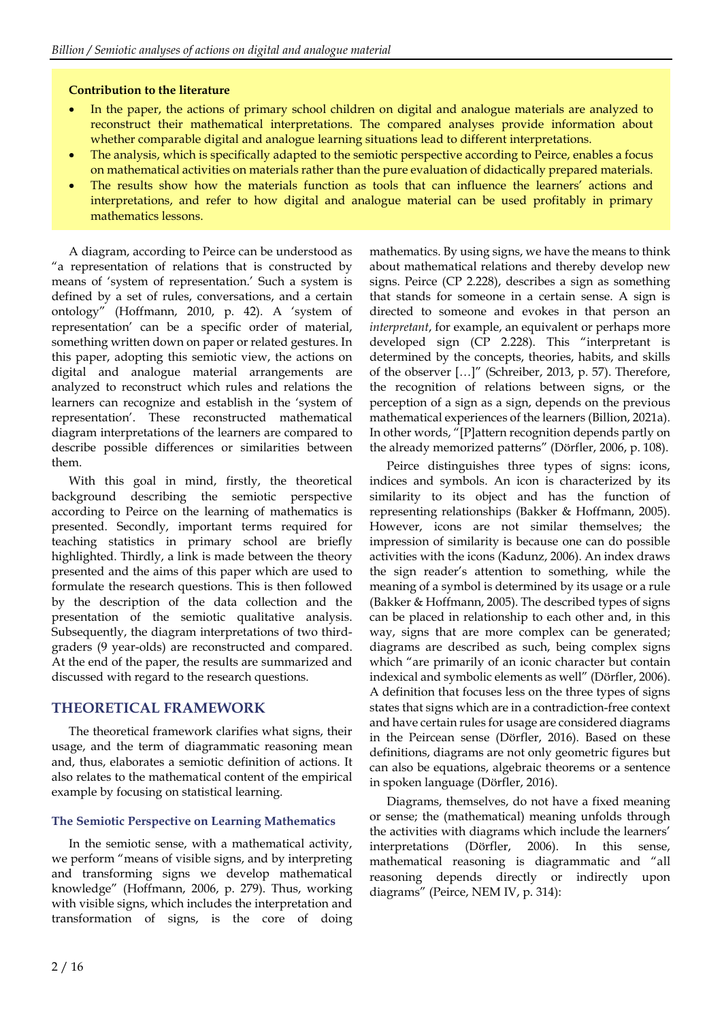## **Contribution to the literature**

- In the paper, the actions of primary school children on digital and analogue materials are analyzed to reconstruct their mathematical interpretations. The compared analyses provide information about whether comparable digital and analogue learning situations lead to different interpretations.
- The analysis, which is specifically adapted to the semiotic perspective according to Peirce, enables a focus on mathematical activities on materials rather than the pure evaluation of didactically prepared materials.
- The results show how the materials function as tools that can influence the learners' actions and interpretations, and refer to how digital and analogue material can be used profitably in primary mathematics lessons.

A diagram, according to Peirce can be understood as "a representation of relations that is constructed by means of 'system of representation.' Such a system is defined by a set of rules, conversations, and a certain ontology" (Hoffmann, 2010, p. 42). A 'system of representation' can be a specific order of material, something written down on paper or related gestures. In this paper, adopting this semiotic view, the actions on digital and analogue material arrangements are analyzed to reconstruct which rules and relations the learners can recognize and establish in the 'system of representation'. These reconstructed mathematical diagram interpretations of the learners are compared to describe possible differences or similarities between them.

With this goal in mind, firstly, the theoretical background describing the semiotic perspective according to Peirce on the learning of mathematics is presented. Secondly, important terms required for teaching statistics in primary school are briefly highlighted. Thirdly, a link is made between the theory presented and the aims of this paper which are used to formulate the research questions. This is then followed by the description of the data collection and the presentation of the semiotic qualitative analysis. Subsequently, the diagram interpretations of two thirdgraders (9 year-olds) are reconstructed and compared. At the end of the paper, the results are summarized and discussed with regard to the research questions.

## **THEORETICAL FRAMEWORK**

The theoretical framework clarifies what signs, their usage, and the term of diagrammatic reasoning mean and, thus, elaborates a semiotic definition of actions. It also relates to the mathematical content of the empirical example by focusing on statistical learning.

## **The Semiotic Perspective on Learning Mathematics**

In the semiotic sense, with a mathematical activity, we perform "means of visible signs, and by interpreting and transforming signs we develop mathematical knowledge" (Hoffmann, 2006, p. 279). Thus, working with visible signs, which includes the interpretation and transformation of signs, is the core of doing mathematics. By using signs, we have the means to think about mathematical relations and thereby develop new signs. Peirce (CP 2.228), describes a sign as something that stands for someone in a certain sense. A sign is directed to someone and evokes in that person an *interpretant*, for example, an equivalent or perhaps more developed sign (CP 2.228). This "interpretant is determined by the concepts, theories, habits, and skills of the observer […]" (Schreiber, 2013, p. 57). Therefore, the recognition of relations between signs, or the perception of a sign as a sign, depends on the previous mathematical experiences of the learners (Billion, 2021a). In other words, "[P]attern recognition depends partly on the already memorized patterns" (Dörfler, 2006, p. 108).

Peirce distinguishes three types of signs: icons, indices and symbols. An icon is characterized by its similarity to its object and has the function of representing relationships (Bakker & Hoffmann, 2005). However, icons are not similar themselves; the impression of similarity is because one can do possible activities with the icons (Kadunz, 2006). An index draws the sign reader's attention to something, while the meaning of a symbol is determined by its usage or a rule (Bakker & Hoffmann, 2005). The described types of signs can be placed in relationship to each other and, in this way, signs that are more complex can be generated; diagrams are described as such, being complex signs which "are primarily of an iconic character but contain indexical and symbolic elements as well" (Dörfler, 2006). A definition that focuses less on the three types of signs states that signs which are in a contradiction-free context and have certain rules for usage are considered diagrams in the Peircean sense (Dörfler, 2016). Based on these definitions, diagrams are not only geometric figures but can also be equations, algebraic theorems or a sentence in spoken language (Dörfler, 2016).

Diagrams, themselves, do not have a fixed meaning or sense; the (mathematical) meaning unfolds through the activities with diagrams which include the learners' interpretations (Dörfler, 2006). In this sense, mathematical reasoning is diagrammatic and "all reasoning depends directly or indirectly upon diagrams" (Peirce, NEM IV, p. 314):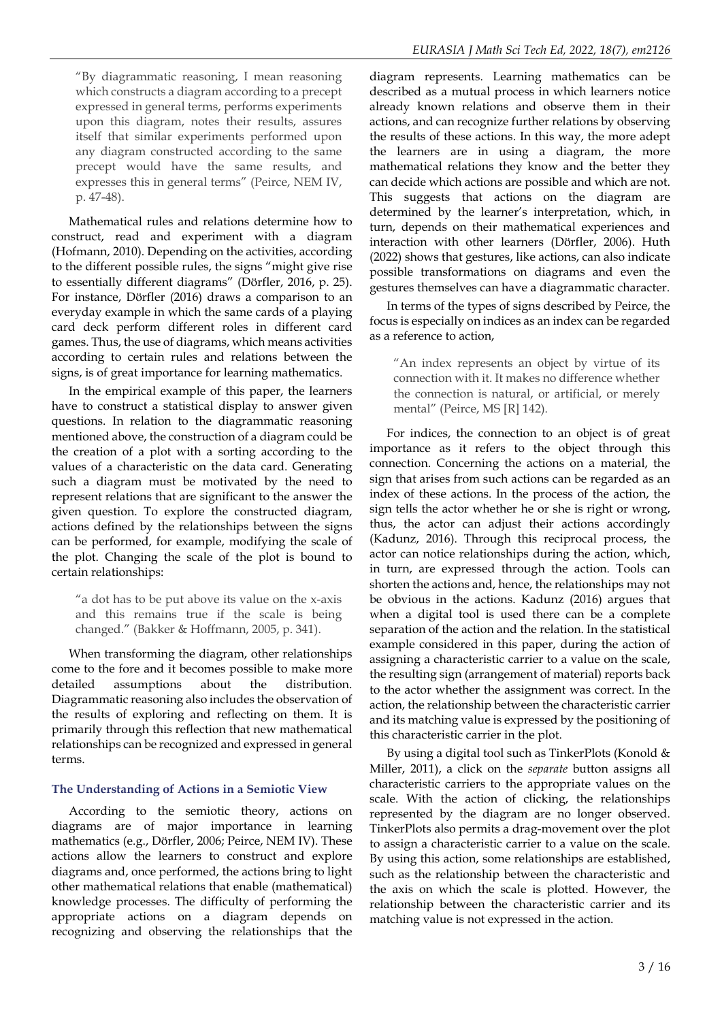"By diagrammatic reasoning, I mean reasoning which constructs a diagram according to a precept expressed in general terms, performs experiments upon this diagram, notes their results, assures itself that similar experiments performed upon any diagram constructed according to the same precept would have the same results, and expresses this in general terms" (Peirce, NEM IV, p. 47-48).

Mathematical rules and relations determine how to construct, read and experiment with a diagram (Hofmann, 2010). Depending on the activities, according to the different possible rules, the signs "might give rise to essentially different diagrams" (Dörfler, 2016, p. 25). For instance, Dörfler (2016) draws a comparison to an everyday example in which the same cards of a playing card deck perform different roles in different card games. Thus, the use of diagrams, which means activities according to certain rules and relations between the signs, is of great importance for learning mathematics.

In the empirical example of this paper, the learners have to construct a statistical display to answer given questions. In relation to the diagrammatic reasoning mentioned above, the construction of a diagram could be the creation of a plot with a sorting according to the values of a characteristic on the data card. Generating such a diagram must be motivated by the need to represent relations that are significant to the answer the given question. To explore the constructed diagram, actions defined by the relationships between the signs can be performed, for example, modifying the scale of the plot. Changing the scale of the plot is bound to certain relationships:

"a dot has to be put above its value on the x-axis and this remains true if the scale is being changed." (Bakker & Hoffmann, 2005, p. 341).

When transforming the diagram, other relationships come to the fore and it becomes possible to make more detailed assumptions about the distribution. Diagrammatic reasoning also includes the observation of the results of exploring and reflecting on them. It is primarily through this reflection that new mathematical relationships can be recognized and expressed in general terms.

## **The Understanding of Actions in a Semiotic View**

According to the semiotic theory, actions on diagrams are of major importance in learning mathematics (e.g., Dörfler, 2006; Peirce, NEM IV). These actions allow the learners to construct and explore diagrams and, once performed, the actions bring to light other mathematical relations that enable (mathematical) knowledge processes. The difficulty of performing the appropriate actions on a diagram depends on recognizing and observing the relationships that the

diagram represents. Learning mathematics can be described as a mutual process in which learners notice already known relations and observe them in their actions, and can recognize further relations by observing the results of these actions. In this way, the more adept the learners are in using a diagram, the more mathematical relations they know and the better they can decide which actions are possible and which are not. This suggests that actions on the diagram are determined by the learner's interpretation, which, in turn, depends on their mathematical experiences and interaction with other learners (Dörfler, 2006). Huth (2022) shows that gestures, like actions, can also indicate possible transformations on diagrams and even the gestures themselves can have a diagrammatic character.

In terms of the types of signs described by Peirce, the focus is especially on indices as an index can be regarded as a reference to action,

"An index represents an object by virtue of its connection with it. It makes no difference whether the connection is natural, or artificial, or merely mental" (Peirce, MS [R] 142).

For indices, the connection to an object is of great importance as it refers to the object through this connection. Concerning the actions on a material, the sign that arises from such actions can be regarded as an index of these actions. In the process of the action, the sign tells the actor whether he or she is right or wrong, thus, the actor can adjust their actions accordingly (Kadunz, 2016). Through this reciprocal process, the actor can notice relationships during the action, which, in turn, are expressed through the action. Tools can shorten the actions and, hence, the relationships may not be obvious in the actions. Kadunz (2016) argues that when a digital tool is used there can be a complete separation of the action and the relation. In the statistical example considered in this paper, during the action of assigning a characteristic carrier to a value on the scale, the resulting sign (arrangement of material) reports back to the actor whether the assignment was correct. In the action, the relationship between the characteristic carrier and its matching value is expressed by the positioning of this characteristic carrier in the plot.

By using a digital tool such as TinkerPlots (Konold  $&$ Miller, 2011), a click on the *separate* button assigns all characteristic carriers to the appropriate values on the scale. With the action of clicking, the relationships represented by the diagram are no longer observed. TinkerPlots also permits a drag-movement over the plot to assign a characteristic carrier to a value on the scale. By using this action, some relationships are established, such as the relationship between the characteristic and the axis on which the scale is plotted. However, the relationship between the characteristic carrier and its matching value is not expressed in the action.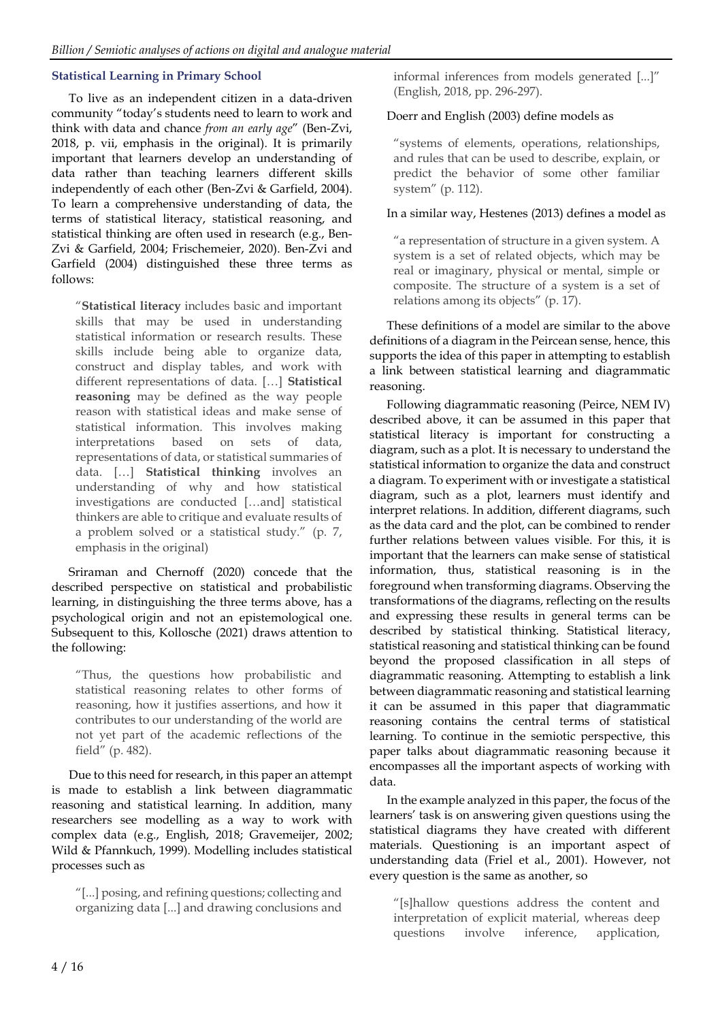## **Statistical Learning in Primary School**

To live as an independent citizen in a data-driven community "today's students need to learn to work and think with data and chance *from an early age*" (Ben-Zvi, 2018, p. vii, emphasis in the original). It is primarily important that learners develop an understanding of data rather than teaching learners different skills independently of each other (Ben-Zvi & Garfield, 2004). To learn a comprehensive understanding of data, the terms of statistical literacy, statistical reasoning, and statistical thinking are often used in research (e.g., Ben-Zvi & Garfield, 2004; Frischemeier, 2020). Ben-Zvi and Garfield (2004) distinguished these three terms as follows:

"**Statistical literacy** includes basic and important skills that may be used in understanding statistical information or research results. These skills include being able to organize data, construct and display tables, and work with different representations of data. […] **Statistical reasoning** may be defined as the way people reason with statistical ideas and make sense of statistical information. This involves making interpretations based on sets of data, representations of data, or statistical summaries of data. […] **Statistical thinking** involves an understanding of why and how statistical investigations are conducted […and] statistical thinkers are able to critique and evaluate results of a problem solved or a statistical study." (p. 7, emphasis in the original)

Sriraman and Chernoff (2020) concede that the described perspective on statistical and probabilistic learning, in distinguishing the three terms above, has a psychological origin and not an epistemological one. Subsequent to this, Kollosche (2021) draws attention to the following:

"Thus, the questions how probabilistic and statistical reasoning relates to other forms of reasoning, how it justifies assertions, and how it contributes to our understanding of the world are not yet part of the academic reflections of the field" (p. 482).

Due to this need for research, in this paper an attempt is made to establish a link between diagrammatic reasoning and statistical learning. In addition, many researchers see modelling as a way to work with complex data (e.g., English, 2018; Gravemeijer, 2002; Wild & Pfannkuch, 1999). Modelling includes statistical processes such as

"[...] posing, and refining questions; collecting and organizing data [...] and drawing conclusions and

informal inferences from models generated [...]" (English, 2018, pp. 296-297).

## Doerr and English (2003) define models as

"systems of elements, operations, relationships, and rules that can be used to describe, explain, or predict the behavior of some other familiar system" (p. 112).

## In a similar way, Hestenes (2013) defines a model as

"a representation of structure in a given system. A system is a set of related objects, which may be real or imaginary, physical or mental, simple or composite. The structure of a system is a set of relations among its objects" (p. 17).

These definitions of a model are similar to the above definitions of a diagram in the Peircean sense, hence, this supports the idea of this paper in attempting to establish a link between statistical learning and diagrammatic reasoning.

Following diagrammatic reasoning (Peirce, NEM IV) described above, it can be assumed in this paper that statistical literacy is important for constructing a diagram, such as a plot. It is necessary to understand the statistical information to organize the data and construct a diagram. To experiment with or investigate a statistical diagram, such as a plot, learners must identify and interpret relations. In addition, different diagrams, such as the data card and the plot, can be combined to render further relations between values visible. For this, it is important that the learners can make sense of statistical information, thus, statistical reasoning is in the foreground when transforming diagrams. Observing the transformations of the diagrams, reflecting on the results and expressing these results in general terms can be described by statistical thinking. Statistical literacy, statistical reasoning and statistical thinking can be found beyond the proposed classification in all steps of diagrammatic reasoning. Attempting to establish a link between diagrammatic reasoning and statistical learning it can be assumed in this paper that diagrammatic reasoning contains the central terms of statistical learning. To continue in the semiotic perspective, this paper talks about diagrammatic reasoning because it encompasses all the important aspects of working with data.

In the example analyzed in this paper, the focus of the learners' task is on answering given questions using the statistical diagrams they have created with different materials. Questioning is an important aspect of understanding data (Friel et al., 2001). However, not every question is the same as another, so

"[s]hallow questions address the content and interpretation of explicit material, whereas deep questions involve inference, application,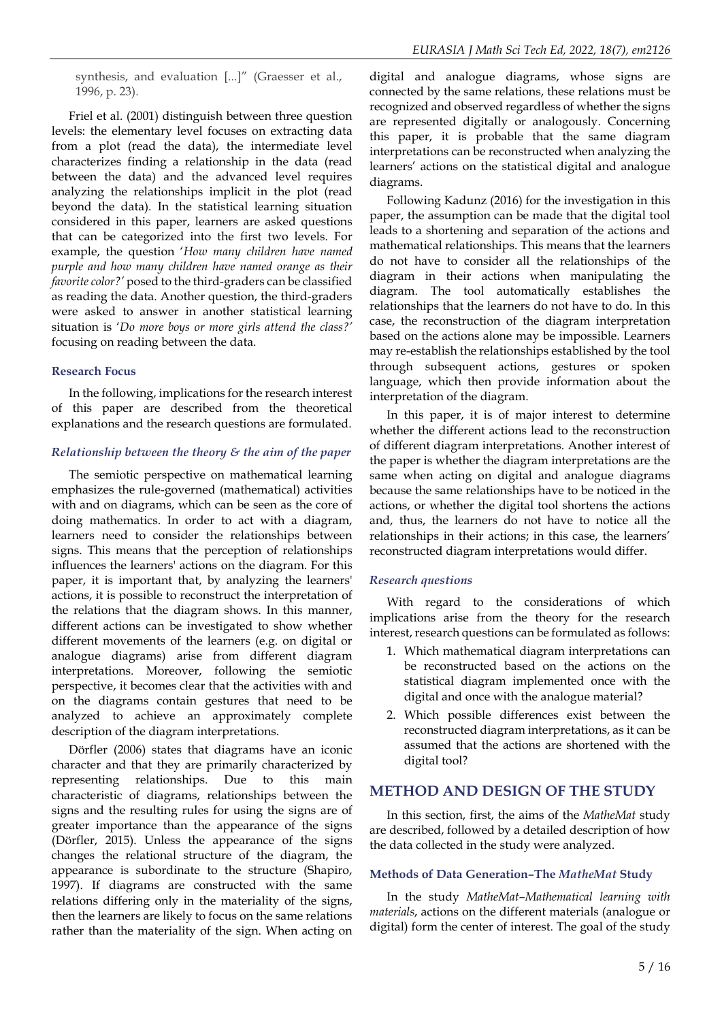synthesis, and evaluation [...]" (Graesser et al., 1996, p. 23).

Friel et al. (2001) distinguish between three question levels: the elementary level focuses on extracting data from a plot (read the data), the intermediate level characterizes finding a relationship in the data (read between the data) and the advanced level requires analyzing the relationships implicit in the plot (read beyond the data). In the statistical learning situation considered in this paper, learners are asked questions that can be categorized into the first two levels. For example, the question '*How many children have named purple and how many children have named orange as their favorite color?'* posed to the third-graders can be classified as reading the data. Another question, the third-graders were asked to answer in another statistical learning situation is '*Do more boys or more girls attend the class?'* focusing on reading between the data.

## **Research Focus**

In the following, implications for the research interest of this paper are described from the theoretical explanations and the research questions are formulated.

## *Relationship between the theory & the aim of the paper*

The semiotic perspective on mathematical learning emphasizes the rule-governed (mathematical) activities with and on diagrams, which can be seen as the core of doing mathematics. In order to act with a diagram, learners need to consider the relationships between signs. This means that the perception of relationships influences the learners' actions on the diagram. For this paper, it is important that, by analyzing the learners' actions, it is possible to reconstruct the interpretation of the relations that the diagram shows. In this manner, different actions can be investigated to show whether different movements of the learners (e.g. on digital or analogue diagrams) arise from different diagram interpretations. Moreover, following the semiotic perspective, it becomes clear that the activities with and on the diagrams contain gestures that need to be analyzed to achieve an approximately complete description of the diagram interpretations.

Dörfler (2006) states that diagrams have an iconic character and that they are primarily characterized by representing relationships. Due to this main characteristic of diagrams, relationships between the signs and the resulting rules for using the signs are of greater importance than the appearance of the signs (Dörfler, 2015). Unless the appearance of the signs changes the relational structure of the diagram, the appearance is subordinate to the structure (Shapiro, 1997). If diagrams are constructed with the same relations differing only in the materiality of the signs, then the learners are likely to focus on the same relations rather than the materiality of the sign. When acting on

digital and analogue diagrams, whose signs are connected by the same relations, these relations must be recognized and observed regardless of whether the signs are represented digitally or analogously. Concerning this paper, it is probable that the same diagram interpretations can be reconstructed when analyzing the learners' actions on the statistical digital and analogue diagrams.

Following Kadunz (2016) for the investigation in this paper, the assumption can be made that the digital tool leads to a shortening and separation of the actions and mathematical relationships. This means that the learners do not have to consider all the relationships of the diagram in their actions when manipulating the diagram. The tool automatically establishes the relationships that the learners do not have to do. In this case, the reconstruction of the diagram interpretation based on the actions alone may be impossible. Learners may re-establish the relationships established by the tool through subsequent actions, gestures or spoken language, which then provide information about the interpretation of the diagram.

In this paper, it is of major interest to determine whether the different actions lead to the reconstruction of different diagram interpretations. Another interest of the paper is whether the diagram interpretations are the same when acting on digital and analogue diagrams because the same relationships have to be noticed in the actions, or whether the digital tool shortens the actions and, thus, the learners do not have to notice all the relationships in their actions; in this case, the learners' reconstructed diagram interpretations would differ.

#### *Research questions*

With regard to the considerations of which implications arise from the theory for the research interest, research questions can be formulated as follows:

- 1. Which mathematical diagram interpretations can be reconstructed based on the actions on the statistical diagram implemented once with the digital and once with the analogue material?
- 2. Which possible differences exist between the reconstructed diagram interpretations, as it can be assumed that the actions are shortened with the digital tool?

## **METHOD AND DESIGN OF THE STUDY**

In this section, first, the aims of the *MatheMat* study are described, followed by a detailed description of how the data collected in the study were analyzed.

## **Methods of Data Generation–The** *MatheMat* **Study**

In the study *MatheMat–Mathematical learning with materials*, actions on the different materials (analogue or digital) form the center of interest. The goal of the study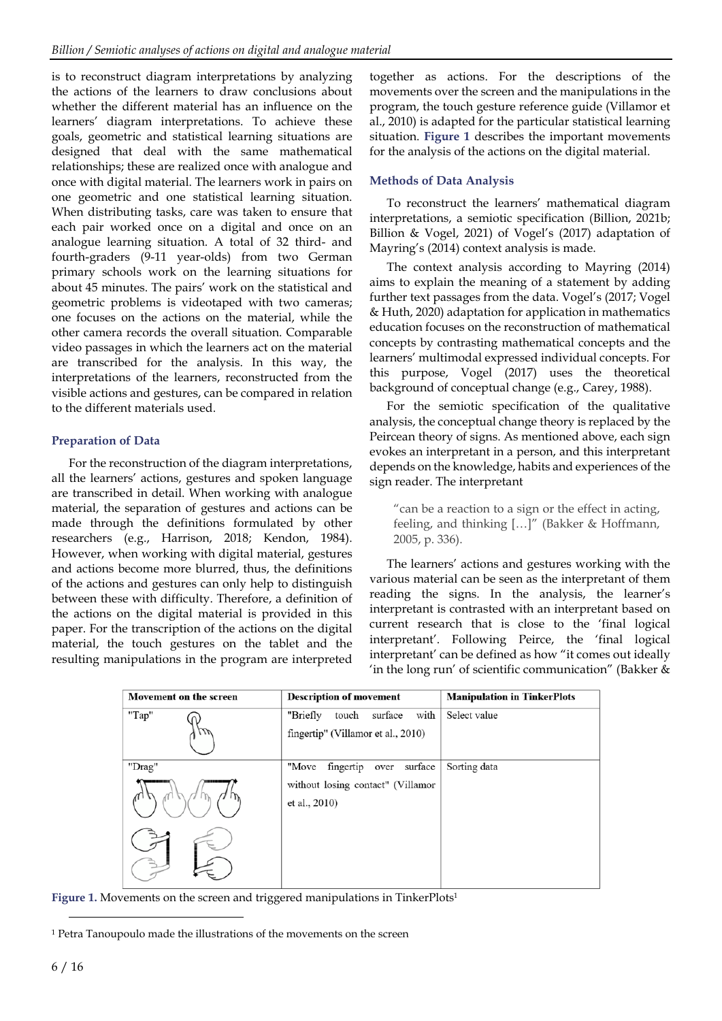is to reconstruct diagram interpretations by analyzing the actions of the learners to draw conclusions about whether the different material has an influence on the learners' diagram interpretations. To achieve these goals, geometric and statistical learning situations are designed that deal with the same mathematical relationships; these are realized once with analogue and once with digital material. The learners work in pairs on one geometric and one statistical learning situation. When distributing tasks, care was taken to ensure that each pair worked once on a digital and once on an analogue learning situation. A total of 32 third- and fourth-graders (9-11 year-olds) from two German primary schools work on the learning situations for about 45 minutes. The pairs' work on the statistical and geometric problems is videotaped with two cameras; one focuses on the actions on the material, while the other camera records the overall situation. Comparable video passages in which the learners act on the material are transcribed for the analysis. In this way, the interpretations of the learners, reconstructed from the visible actions and gestures, can be compared in relation to the different materials used.

## **Preparation of Data**

For the reconstruction of the diagram interpretations, all the learners' actions, gestures and spoken language are transcribed in detail. When working with analogue material, the separation of gestures and actions can be made through the definitions formulated by other researchers (e.g., Harrison, 2018; Kendon, 1984). However, when working with digital material, gestures and actions become more blurred, thus, the definitions of the actions and gestures can only help to distinguish between these with difficulty. Therefore, a definition of the actions on the digital material is provided in this paper. For the transcription of the actions on the digital material, the touch gestures on the tablet and the resulting manipulations in the program are interpreted

together as actions. For the descriptions of the movements over the screen and the manipulations in the program, the touch gesture reference guide (Villamor et al., 2010) is adapted for the particular statistical learning situation. **Figure 1** describes the important movements for the analysis of the actions on the digital material.

## **Methods of Data Analysis**

To reconstruct the learners' mathematical diagram interpretations, a semiotic specification (Billion, 2021b; Billion & Vogel, 2021) of Vogel's (2017) adaptation of Mayring's (2014) context analysis is made.

The context analysis according to Mayring (2014) aims to explain the meaning of a statement by adding further text passages from the data. Vogel's (2017; Vogel & Huth, 2020) adaptation for application in mathematics education focuses on the reconstruction of mathematical concepts by contrasting mathematical concepts and the learners' multimodal expressed individual concepts. For this purpose, Vogel (2017) uses the theoretical background of conceptual change (e.g., Carey, 1988).

For the semiotic specification of the qualitative analysis, the conceptual change theory is replaced by the Peircean theory of signs. As mentioned above, each sign evokes an interpretant in a person, and this interpretant depends on the knowledge, habits and experiences of the sign reader. The interpretant

"can be a reaction to a sign or the effect in acting, feeling, and thinking […]" (Bakker & Hoffmann, 2005, p. 336).

The learners' actions and gestures working with the various material can be seen as the interpretant of them reading the signs. In the analysis, the learner's interpretant is contrasted with an interpretant based on current research that is close to the 'final logical interpretant'. Following Peirce, the 'final logical interpretant' can be defined as how "it comes out ideally 'in the long run' of scientific communication" (Bakker &

| Movement on the screen | <b>Description of movement</b>       | <b>Manipulation in TinkerPlots</b> |  |  |
|------------------------|--------------------------------------|------------------------------------|--|--|
| "Tap"                  | with<br>"Briefly<br>surface<br>touch | Select value                       |  |  |
|                        | fingertip" (Villamor et al., 2010)   |                                    |  |  |
| "Drag"                 | surface<br>"Move<br>fingertip over   | Sorting data                       |  |  |
|                        | without losing contact" (Villamor    |                                    |  |  |
|                        | et al., 2010)                        |                                    |  |  |
|                        |                                      |                                    |  |  |
|                        |                                      |                                    |  |  |

Figure 1. Movements on the screen and triggered manipulations in TinkerPlots<sup>1</sup>

<sup>1</sup> Petra Tanoupoulo made the illustrations of the movements on the screen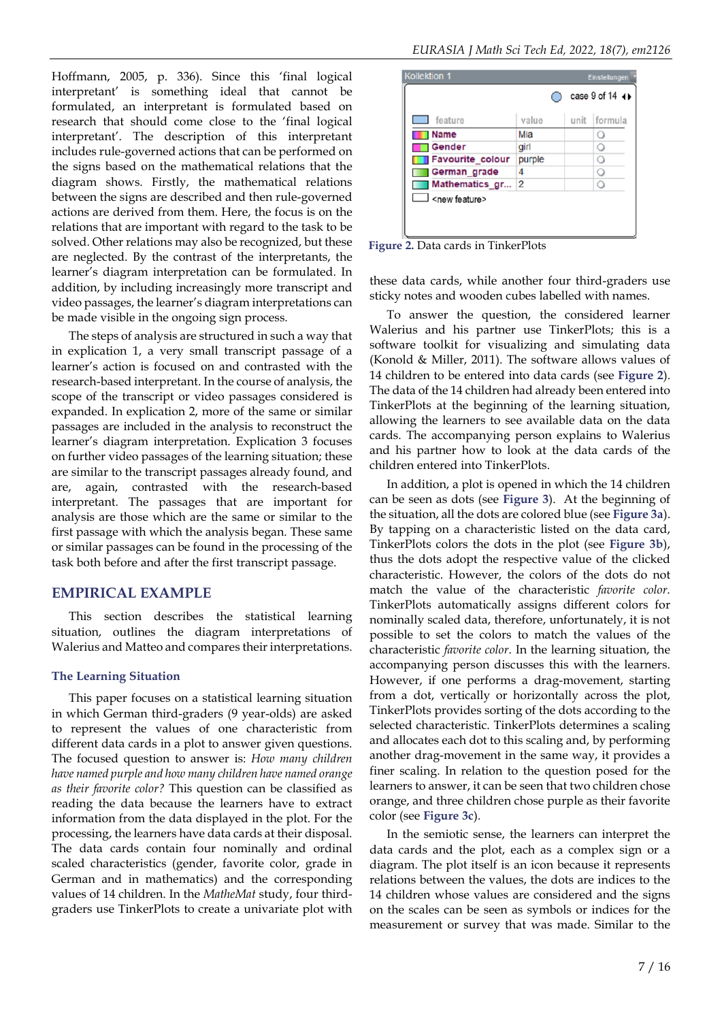Hoffmann, 2005, p. 336). Since this 'final logical interpretant' is something ideal that cannot be formulated, an interpretant is formulated based on research that should come close to the 'final logical interpretant'. The description of this interpretant includes rule-governed actions that can be performed on the signs based on the mathematical relations that the diagram shows. Firstly, the mathematical relations between the signs are described and then rule-governed actions are derived from them. Here, the focus is on the relations that are important with regard to the task to be solved. Other relations may also be recognized, but these are neglected. By the contrast of the interpretants, the learner's diagram interpretation can be formulated. In addition, by including increasingly more transcript and video passages, the learner's diagram interpretations can be made visible in the ongoing sign process.

The steps of analysis are structured in such a way that in explication 1, a very small transcript passage of a learner's action is focused on and contrasted with the research-based interpretant. In the course of analysis, the scope of the transcript or video passages considered is expanded. In explication 2, more of the same or similar passages are included in the analysis to reconstruct the learner's diagram interpretation. Explication 3 focuses on further video passages of the learning situation; these are similar to the transcript passages already found, and are, again, contrasted with the research-based interpretant. The passages that are important for analysis are those which are the same or similar to the first passage with which the analysis began. These same or similar passages can be found in the processing of the task both before and after the first transcript passage.

## **EMPIRICAL EXAMPLE**

This section describes the statistical learning situation, outlines the diagram interpretations of Walerius and Matteo and compares their interpretations.

#### **The Learning Situation**

This paper focuses on a statistical learning situation in which German third-graders (9 year-olds) are asked to represent the values of one characteristic from different data cards in a plot to answer given questions. The focused question to answer is: *How many children have named purple and how many children have named orange as their favorite color?* This question can be classified as reading the data because the learners have to extract information from the data displayed in the plot. For the processing, the learners have data cards at their disposal. The data cards contain four nominally and ordinal scaled characteristics (gender, favorite color, grade in German and in mathematics) and the corresponding values of 14 children. In the *MatheMat* study, four thirdgraders use TinkerPlots to create a univariate plot with

|                         |        | case 9 of 14 (+) |
|-------------------------|--------|------------------|
| feature                 | value  | unit formula     |
| <b>Name</b>             | Mia    |                  |
| Gender                  | girl   | О                |
| <b>Favourite colour</b> | purple | Ο                |
| German grade            | 4      | O                |
| Mathematics gr 2        |        | О                |

**Figure 2.** Data cards in TinkerPlots

these data cards, while another four third-graders use sticky notes and wooden cubes labelled with names.

To answer the question, the considered learner Walerius and his partner use TinkerPlots; this is a software toolkit for visualizing and simulating data (Konold & Miller, 2011). The software allows values of 14 children to be entered into data cards (see **Figure 2**). The data of the 14 children had already been entered into TinkerPlots at the beginning of the learning situation, allowing the learners to see available data on the data cards. The accompanying person explains to Walerius and his partner how to look at the data cards of the children entered into TinkerPlots.

In addition, a plot is opened in which the 14 children can be seen as dots (see **Figure 3**). At the beginning of the situation, all the dots are colored blue (see **Figure 3a**). By tapping on a characteristic listed on the data card, TinkerPlots colors the dots in the plot (see **Figure 3b**), thus the dots adopt the respective value of the clicked characteristic. However, the colors of the dots do not match the value of the characteristic *favorite color*. TinkerPlots automatically assigns different colors for nominally scaled data, therefore, unfortunately, it is not possible to set the colors to match the values of the characteristic *favorite color*. In the learning situation, the accompanying person discusses this with the learners. However, if one performs a drag-movement, starting from a dot, vertically or horizontally across the plot, TinkerPlots provides sorting of the dots according to the selected characteristic. TinkerPlots determines a scaling and allocates each dot to this scaling and, by performing another drag-movement in the same way, it provides a finer scaling. In relation to the question posed for the learners to answer, it can be seen that two children chose orange, and three children chose purple as their favorite color (see **Figure 3c**).

In the semiotic sense, the learners can interpret the data cards and the plot, each as a complex sign or a diagram. The plot itself is an icon because it represents relations between the values, the dots are indices to the 14 children whose values are considered and the signs on the scales can be seen as symbols or indices for the measurement or survey that was made. Similar to the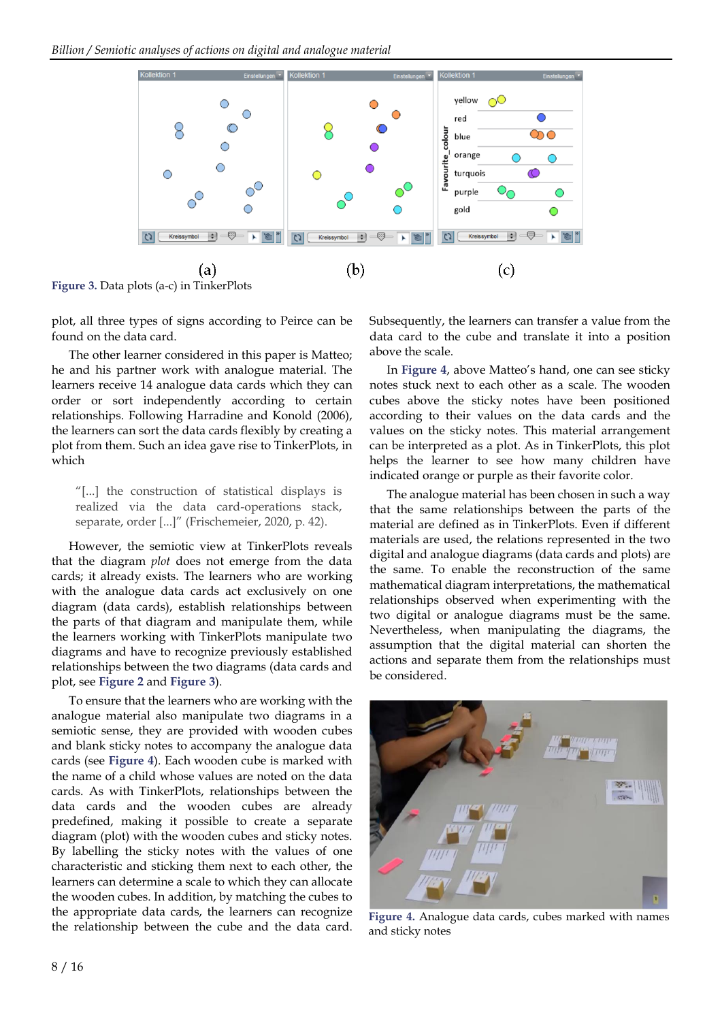

**Figure 3.** Data plots (a-c) in TinkerPlots

plot, all three types of signs according to Peirce can be found on the data card.

The other learner considered in this paper is Matteo; he and his partner work with analogue material. The learners receive 14 analogue data cards which they can order or sort independently according to certain relationships. Following Harradine and Konold (2006), the learners can sort the data cards flexibly by creating a plot from them. Such an idea gave rise to TinkerPlots, in which

"[...] the construction of statistical displays is realized via the data card-operations stack, separate, order [...]" (Frischemeier, 2020, p. 42).

However, the semiotic view at TinkerPlots reveals that the diagram *plot* does not emerge from the data cards; it already exists. The learners who are working with the analogue data cards act exclusively on one diagram (data cards), establish relationships between the parts of that diagram and manipulate them, while the learners working with TinkerPlots manipulate two diagrams and have to recognize previously established relationships between the two diagrams (data cards and plot, see **Figure 2** and **Figure 3**).

To ensure that the learners who are working with the analogue material also manipulate two diagrams in a semiotic sense, they are provided with wooden cubes and blank sticky notes to accompany the analogue data cards (see **Figure 4**). Each wooden cube is marked with the name of a child whose values are noted on the data cards. As with TinkerPlots, relationships between the data cards and the wooden cubes are already predefined, making it possible to create a separate diagram (plot) with the wooden cubes and sticky notes. By labelling the sticky notes with the values of one characteristic and sticking them next to each other, the learners can determine a scale to which they can allocate the wooden cubes. In addition, by matching the cubes to the appropriate data cards, the learners can recognize the relationship between the cube and the data card.

Subsequently, the learners can transfer a value from the data card to the cube and translate it into a position above the scale.

In **Figure 4**, above Matteo's hand, one can see sticky notes stuck next to each other as a scale. The wooden cubes above the sticky notes have been positioned according to their values on the data cards and the values on the sticky notes. This material arrangement can be interpreted as a plot. As in TinkerPlots, this plot helps the learner to see how many children have indicated orange or purple as their favorite color.

The analogue material has been chosen in such a way that the same relationships between the parts of the material are defined as in TinkerPlots. Even if different materials are used, the relations represented in the two digital and analogue diagrams (data cards and plots) are the same. To enable the reconstruction of the same mathematical diagram interpretations, the mathematical relationships observed when experimenting with the two digital or analogue diagrams must be the same. Nevertheless, when manipulating the diagrams, the assumption that the digital material can shorten the actions and separate them from the relationships must be considered.



**Figure 4.** Analogue data cards, cubes marked with names and sticky notes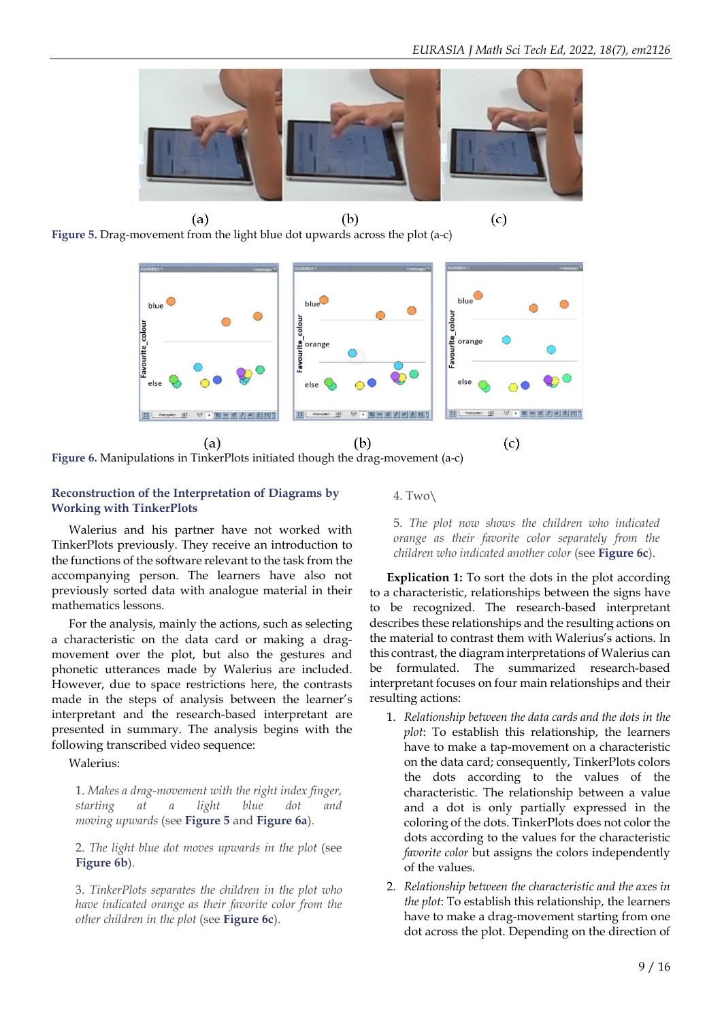

 $(b)$  $(a)$ **Figure 5.** Drag-movement from the light blue dot upwards across the plot (a-c)



**Figure 6.** Manipulations in TinkerPlots initiated though the drag-movement (a-c)

#### **Reconstruction of the Interpretation of Diagrams by Working with TinkerPlots**

Walerius and his partner have not worked with TinkerPlots previously. They receive an introduction to the functions of the software relevant to the task from the accompanying person. The learners have also not previously sorted data with analogue material in their mathematics lessons.

For the analysis, mainly the actions, such as selecting a characteristic on the data card or making a dragmovement over the plot, but also the gestures and phonetic utterances made by Walerius are included. However, due to space restrictions here, the contrasts made in the steps of analysis between the learner's interpretant and the research-based interpretant are presented in summary. The analysis begins with the following transcribed video sequence:

Walerius:

1. *Makes a drag-movement with the right index finger, starting at a light blue dot and moving upwards* (see **Figure 5** and **Figure 6a**).

2. *The light blue dot moves upwards in the plot* (see **Figure 6b**).

3. *TinkerPlots separates the children in the plot who have indicated orange as their favorite color from the other children in the plot* (see **Figure 6c**).

4. Two\

5. *The plot now shows the children who indicated orange as their favorite color separately from the children who indicated another color* (see **Figure 6c**).

**Explication 1:** To sort the dots in the plot according to a characteristic, relationships between the signs have to be recognized. The research-based interpretant describes these relationships and the resulting actions on the material to contrast them with Walerius's actions. In this contrast, the diagram interpretations of Walerius can be formulated. The summarized research-based interpretant focuses on four main relationships and their resulting actions:

- 1. *Relationship between the data cards and the dots in the plot*: To establish this relationship, the learners have to make a tap-movement on a characteristic on the data card; consequently, TinkerPlots colors the dots according to the values of the characteristic. The relationship between a value and a dot is only partially expressed in the coloring of the dots. TinkerPlots does not color the dots according to the values for the characteristic *favorite color* but assigns the colors independently of the values.
- 2. *Relationship between the characteristic and the axes in the plot*: To establish this relationship, the learners have to make a drag-movement starting from one dot across the plot. Depending on the direction of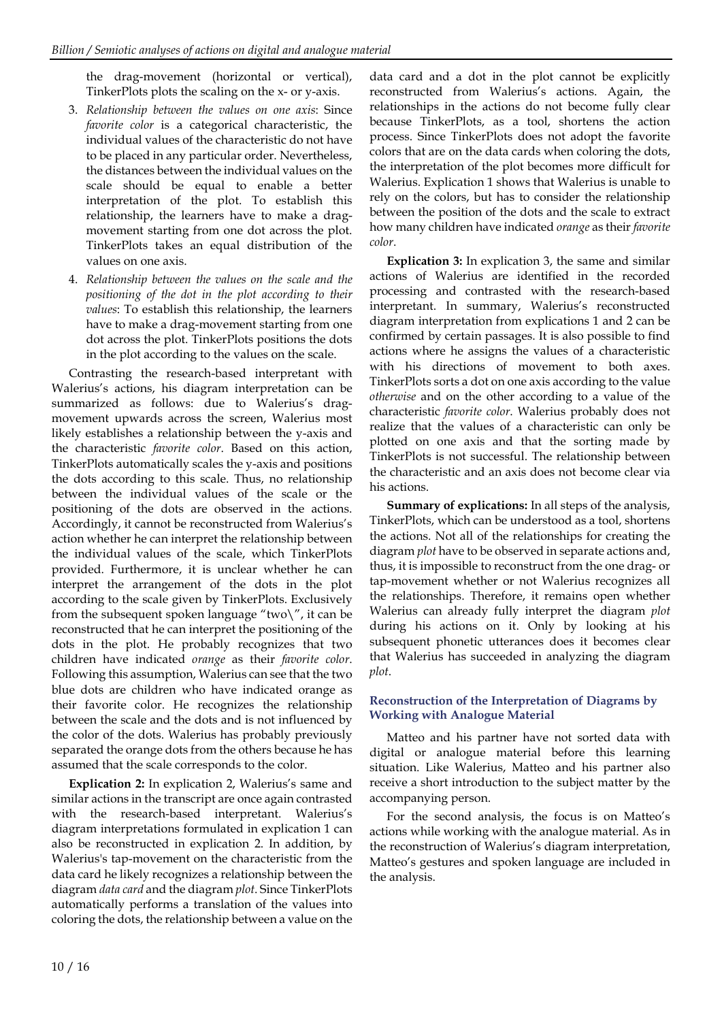the drag-movement (horizontal or vertical), TinkerPlots plots the scaling on the x- or y-axis.

- 3. *Relationship between the values on one axis*: Since *favorite color* is a categorical characteristic, the individual values of the characteristic do not have to be placed in any particular order. Nevertheless, the distances between the individual values on the scale should be equal to enable a better interpretation of the plot. To establish this relationship, the learners have to make a dragmovement starting from one dot across the plot. TinkerPlots takes an equal distribution of the values on one axis.
- 4. *Relationship between the values on the scale and the positioning of the dot in the plot according to their values*: To establish this relationship, the learners have to make a drag-movement starting from one dot across the plot. TinkerPlots positions the dots in the plot according to the values on the scale.

Contrasting the research-based interpretant with Walerius's actions, his diagram interpretation can be summarized as follows: due to Walerius's dragmovement upwards across the screen, Walerius most likely establishes a relationship between the y-axis and the characteristic *favorite color*. Based on this action, TinkerPlots automatically scales the y-axis and positions the dots according to this scale. Thus, no relationship between the individual values of the scale or the positioning of the dots are observed in the actions. Accordingly, it cannot be reconstructed from Walerius's action whether he can interpret the relationship between the individual values of the scale, which TinkerPlots provided. Furthermore, it is unclear whether he can interpret the arrangement of the dots in the plot according to the scale given by TinkerPlots. Exclusively from the subsequent spoken language "two $\langle$ ", it can be reconstructed that he can interpret the positioning of the dots in the plot. He probably recognizes that two children have indicated *orange* as their *favorite color*. Following this assumption, Walerius can see that the two blue dots are children who have indicated orange as their favorite color. He recognizes the relationship between the scale and the dots and is not influenced by the color of the dots. Walerius has probably previously separated the orange dots from the others because he has assumed that the scale corresponds to the color.

**Explication 2:** In explication 2, Walerius's same and similar actions in the transcript are once again contrasted with the research-based interpretant. Walerius's diagram interpretations formulated in explication 1 can also be reconstructed in explication 2. In addition, by Walerius's tap-movement on the characteristic from the data card he likely recognizes a relationship between the diagram *data card* and the diagram *plot*. Since TinkerPlots automatically performs a translation of the values into coloring the dots, the relationship between a value on the

data card and a dot in the plot cannot be explicitly reconstructed from Walerius's actions. Again, the relationships in the actions do not become fully clear because TinkerPlots, as a tool, shortens the action process. Since TinkerPlots does not adopt the favorite colors that are on the data cards when coloring the dots, the interpretation of the plot becomes more difficult for Walerius. Explication 1 shows that Walerius is unable to rely on the colors, but has to consider the relationship between the position of the dots and the scale to extract how many children have indicated *orange* as their *favorite color*.

**Explication 3:** In explication 3, the same and similar actions of Walerius are identified in the recorded processing and contrasted with the research-based interpretant. In summary, Walerius's reconstructed diagram interpretation from explications 1 and 2 can be confirmed by certain passages. It is also possible to find actions where he assigns the values of a characteristic with his directions of movement to both axes. TinkerPlots sorts a dot on one axis according to the value *otherwise* and on the other according to a value of the characteristic *favorite color*. Walerius probably does not realize that the values of a characteristic can only be plotted on one axis and that the sorting made by TinkerPlots is not successful. The relationship between the characteristic and an axis does not become clear via his actions.

**Summary of explications:** In all steps of the analysis, TinkerPlots, which can be understood as a tool, shortens the actions. Not all of the relationships for creating the diagram *plot* have to be observed in separate actions and, thus, it is impossible to reconstruct from the one drag- or tap-movement whether or not Walerius recognizes all the relationships. Therefore, it remains open whether Walerius can already fully interpret the diagram *plot* during his actions on it. Only by looking at his subsequent phonetic utterances does it becomes clear that Walerius has succeeded in analyzing the diagram *plot*.

## **Reconstruction of the Interpretation of Diagrams by Working with Analogue Material**

Matteo and his partner have not sorted data with digital or analogue material before this learning situation. Like Walerius, Matteo and his partner also receive a short introduction to the subject matter by the accompanying person.

For the second analysis, the focus is on Matteo's actions while working with the analogue material. As in the reconstruction of Walerius's diagram interpretation, Matteo's gestures and spoken language are included in the analysis.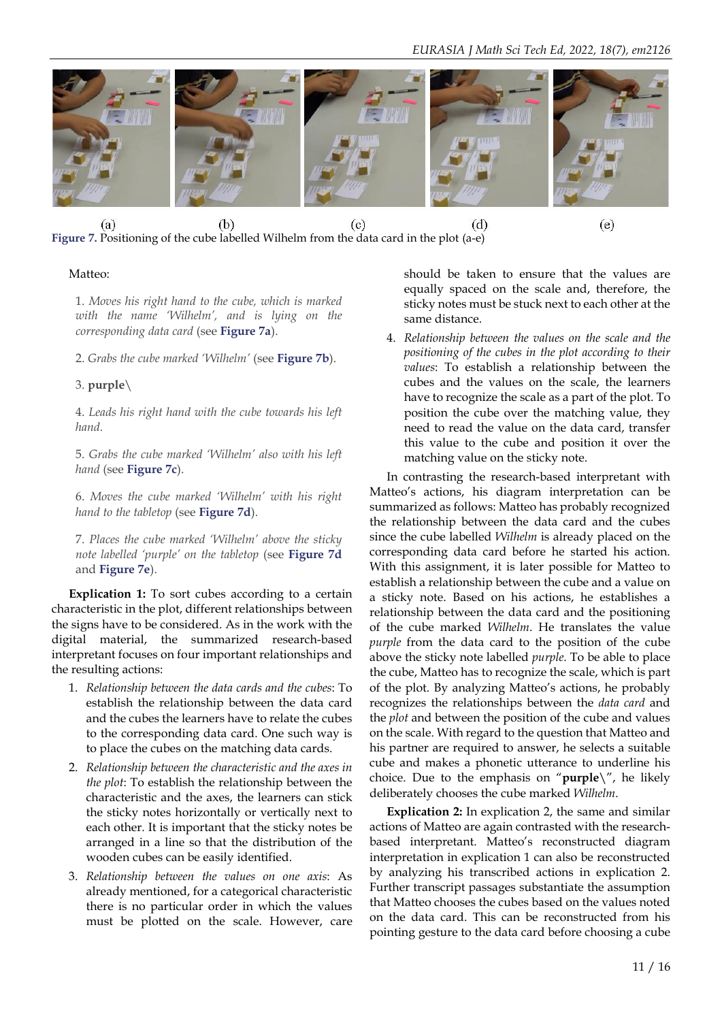



## $(e)$

## Matteo:

1. *Moves his right hand to the cube, which is marked with the name 'Wilhelm', and is lying on the corresponding data card* (see **Figure 7a**).

2. *Grabs the cube marked 'Wilhelm'* (see **Figure 7b**).

## 3. **purple**\

4. *Leads his right hand with the cube towards his left hand*.

5. *Grabs the cube marked 'Wilhelm' also with his left hand* (see **Figure 7c**).

6. *Moves the cube marked 'Wilhelm' with his right hand to the tabletop* (see **Figure 7d**).

7. *Places the cube marked 'Wilhelm' above the sticky note labelled 'purple' on the tabletop* (see **Figure 7d** and **Figure 7e**).

**Explication 1:** To sort cubes according to a certain characteristic in the plot, different relationships between the signs have to be considered. As in the work with the digital material, the summarized research-based interpretant focuses on four important relationships and the resulting actions:

- 1. *Relationship between the data cards and the cubes*: To establish the relationship between the data card and the cubes the learners have to relate the cubes to the corresponding data card. One such way is to place the cubes on the matching data cards.
- 2. *Relationship between the characteristic and the axes in the plot*: To establish the relationship between the characteristic and the axes, the learners can stick the sticky notes horizontally or vertically next to each other. It is important that the sticky notes be arranged in a line so that the distribution of the wooden cubes can be easily identified.
- 3. *Relationship between the values on one axis*: As already mentioned, for a categorical characteristic there is no particular order in which the values must be plotted on the scale. However, care

should be taken to ensure that the values are equally spaced on the scale and, therefore, the sticky notes must be stuck next to each other at the same distance.

4. *Relationship between the values on the scale and the positioning of the cubes in the plot according to their values*: To establish a relationship between the cubes and the values on the scale, the learners have to recognize the scale as a part of the plot. To position the cube over the matching value, they need to read the value on the data card, transfer this value to the cube and position it over the matching value on the sticky note.

In contrasting the research-based interpretant with Matteo's actions, his diagram interpretation can be summarized as follows: Matteo has probably recognized the relationship between the data card and the cubes since the cube labelled *Wilhelm* is already placed on the corresponding data card before he started his action. With this assignment, it is later possible for Matteo to establish a relationship between the cube and a value on a sticky note. Based on his actions, he establishes a relationship between the data card and the positioning of the cube marked *Wilhelm*. He translates the value *purple* from the data card to the position of the cube above the sticky note labelled *purple*. To be able to place the cube, Matteo has to recognize the scale, which is part of the plot. By analyzing Matteo's actions, he probably recognizes the relationships between the *data card* and the *plot* and between the position of the cube and values on the scale. With regard to the question that Matteo and his partner are required to answer, he selects a suitable cube and makes a phonetic utterance to underline his choice. Due to the emphasis on "**purple**\", he likely deliberately chooses the cube marked *Wilhelm*.

**Explication 2:** In explication 2, the same and similar actions of Matteo are again contrasted with the researchbased interpretant. Matteo's reconstructed diagram interpretation in explication 1 can also be reconstructed by analyzing his transcribed actions in explication 2. Further transcript passages substantiate the assumption that Matteo chooses the cubes based on the values noted on the data card. This can be reconstructed from his pointing gesture to the data card before choosing a cube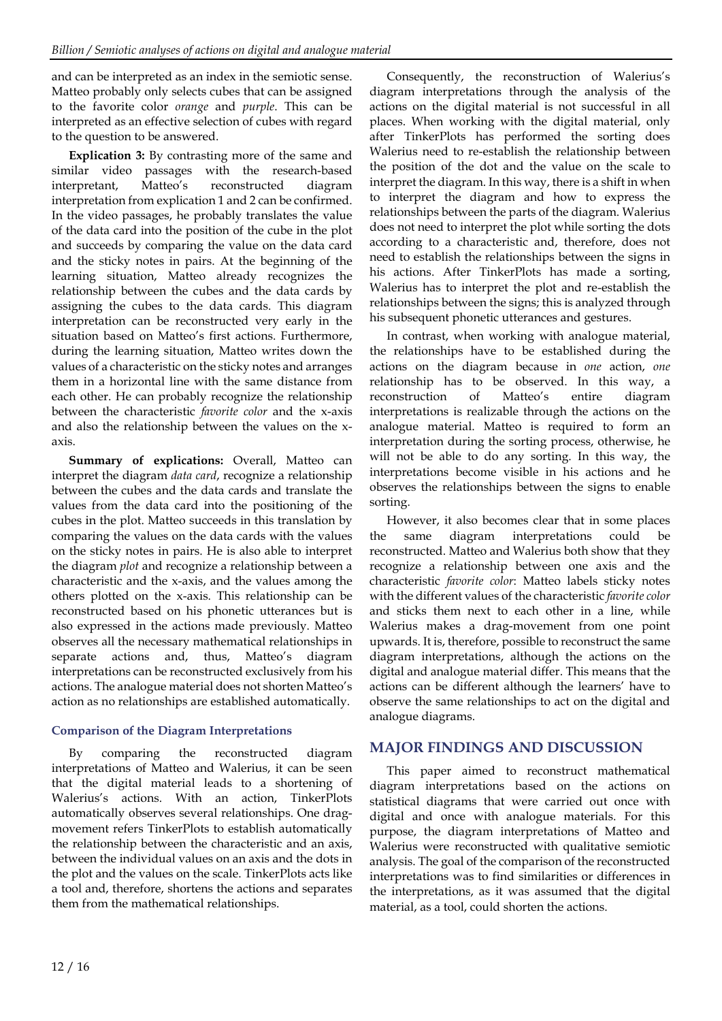and can be interpreted as an index in the semiotic sense. Matteo probably only selects cubes that can be assigned to the favorite color *orange* and *purple*. This can be interpreted as an effective selection of cubes with regard to the question to be answered.

**Explication 3:** By contrasting more of the same and similar video passages with the research-based interpretant, Matteo's reconstructed diagram interpretation from explication 1 and 2 can be confirmed. In the video passages, he probably translates the value of the data card into the position of the cube in the plot and succeeds by comparing the value on the data card and the sticky notes in pairs. At the beginning of the learning situation, Matteo already recognizes the relationship between the cubes and the data cards by assigning the cubes to the data cards. This diagram interpretation can be reconstructed very early in the situation based on Matteo's first actions. Furthermore, during the learning situation, Matteo writes down the values of a characteristic on the sticky notes and arranges them in a horizontal line with the same distance from each other. He can probably recognize the relationship between the characteristic *favorite color* and the x-axis and also the relationship between the values on the xaxis.

**Summary of explications:** Overall, Matteo can interpret the diagram *data card*, recognize a relationship between the cubes and the data cards and translate the values from the data card into the positioning of the cubes in the plot. Matteo succeeds in this translation by comparing the values on the data cards with the values on the sticky notes in pairs. He is also able to interpret the diagram *plot* and recognize a relationship between a characteristic and the x-axis, and the values among the others plotted on the x-axis. This relationship can be reconstructed based on his phonetic utterances but is also expressed in the actions made previously. Matteo observes all the necessary mathematical relationships in separate actions and, thus, Matteo's diagram interpretations can be reconstructed exclusively from his actions. The analogue material does not shorten Matteo's action as no relationships are established automatically.

## **Comparison of the Diagram Interpretations**

By comparing the reconstructed diagram interpretations of Matteo and Walerius, it can be seen that the digital material leads to a shortening of Walerius's actions. With an action, TinkerPlots automatically observes several relationships. One dragmovement refers TinkerPlots to establish automatically the relationship between the characteristic and an axis, between the individual values on an axis and the dots in the plot and the values on the scale. TinkerPlots acts like a tool and, therefore, shortens the actions and separates them from the mathematical relationships.

Consequently, the reconstruction of Walerius's diagram interpretations through the analysis of the actions on the digital material is not successful in all places. When working with the digital material, only after TinkerPlots has performed the sorting does Walerius need to re-establish the relationship between the position of the dot and the value on the scale to interpret the diagram. In this way, there is a shift in when to interpret the diagram and how to express the relationships between the parts of the diagram. Walerius does not need to interpret the plot while sorting the dots according to a characteristic and, therefore, does not need to establish the relationships between the signs in his actions. After TinkerPlots has made a sorting, Walerius has to interpret the plot and re-establish the relationships between the signs; this is analyzed through his subsequent phonetic utterances and gestures.

In contrast, when working with analogue material, the relationships have to be established during the actions on the diagram because in *one* action, *one* relationship has to be observed. In this way, a reconstruction of Matteo's entire diagram interpretations is realizable through the actions on the analogue material. Matteo is required to form an interpretation during the sorting process, otherwise, he will not be able to do any sorting. In this way, the interpretations become visible in his actions and he observes the relationships between the signs to enable sorting.

However, it also becomes clear that in some places the same diagram interpretations could be reconstructed. Matteo and Walerius both show that they recognize a relationship between one axis and the characteristic *favorite color*: Matteo labels sticky notes with the different values of the characteristic *favorite color* and sticks them next to each other in a line, while Walerius makes a drag-movement from one point upwards. It is, therefore, possible to reconstruct the same diagram interpretations, although the actions on the digital and analogue material differ. This means that the actions can be different although the learners' have to observe the same relationships to act on the digital and analogue diagrams.

## **MAJOR FINDINGS AND DISCUSSION**

This paper aimed to reconstruct mathematical diagram interpretations based on the actions on statistical diagrams that were carried out once with digital and once with analogue materials. For this purpose, the diagram interpretations of Matteo and Walerius were reconstructed with qualitative semiotic analysis. The goal of the comparison of the reconstructed interpretations was to find similarities or differences in the interpretations, as it was assumed that the digital material, as a tool, could shorten the actions.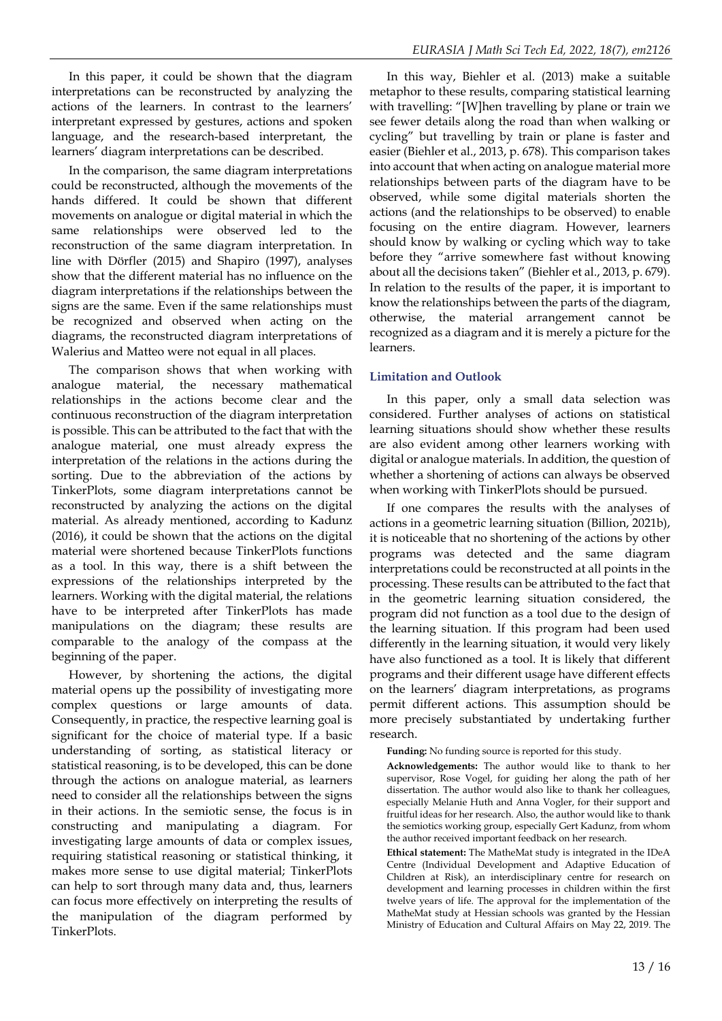In this paper, it could be shown that the diagram interpretations can be reconstructed by analyzing the actions of the learners. In contrast to the learners' interpretant expressed by gestures, actions and spoken language, and the research-based interpretant, the learners' diagram interpretations can be described.

In the comparison, the same diagram interpretations could be reconstructed, although the movements of the hands differed. It could be shown that different movements on analogue or digital material in which the same relationships were observed led to the reconstruction of the same diagram interpretation. In line with Dörfler (2015) and Shapiro (1997), analyses show that the different material has no influence on the diagram interpretations if the relationships between the signs are the same. Even if the same relationships must be recognized and observed when acting on the diagrams, the reconstructed diagram interpretations of Walerius and Matteo were not equal in all places.

The comparison shows that when working with analogue material, the necessary mathematical relationships in the actions become clear and the continuous reconstruction of the diagram interpretation is possible. This can be attributed to the fact that with the analogue material, one must already express the interpretation of the relations in the actions during the sorting. Due to the abbreviation of the actions by TinkerPlots, some diagram interpretations cannot be reconstructed by analyzing the actions on the digital material. As already mentioned, according to Kadunz (2016), it could be shown that the actions on the digital material were shortened because TinkerPlots functions as a tool. In this way, there is a shift between the expressions of the relationships interpreted by the learners. Working with the digital material, the relations have to be interpreted after TinkerPlots has made manipulations on the diagram; these results are comparable to the analogy of the compass at the beginning of the paper.

However, by shortening the actions, the digital material opens up the possibility of investigating more complex questions or large amounts of data. Consequently, in practice, the respective learning goal is significant for the choice of material type. If a basic understanding of sorting, as statistical literacy or statistical reasoning, is to be developed, this can be done through the actions on analogue material, as learners need to consider all the relationships between the signs in their actions. In the semiotic sense, the focus is in constructing and manipulating a diagram. For investigating large amounts of data or complex issues, requiring statistical reasoning or statistical thinking, it makes more sense to use digital material; TinkerPlots can help to sort through many data and, thus, learners can focus more effectively on interpreting the results of the manipulation of the diagram performed by TinkerPlots.

In this way, Biehler et al. (2013) make a suitable metaphor to these results, comparing statistical learning with travelling: "[W]hen travelling by plane or train we see fewer details along the road than when walking or cycling" but travelling by train or plane is faster and easier (Biehler et al., 2013, p. 678). This comparison takes into account that when acting on analogue material more relationships between parts of the diagram have to be observed, while some digital materials shorten the actions (and the relationships to be observed) to enable focusing on the entire diagram. However, learners should know by walking or cycling which way to take before they "arrive somewhere fast without knowing about all the decisions taken" (Biehler et al., 2013, p. 679). In relation to the results of the paper, it is important to know the relationships between the parts of the diagram, otherwise, the material arrangement cannot be recognized as a diagram and it is merely a picture for the learners.

## **Limitation and Outlook**

In this paper, only a small data selection was considered. Further analyses of actions on statistical learning situations should show whether these results are also evident among other learners working with digital or analogue materials. In addition, the question of whether a shortening of actions can always be observed when working with TinkerPlots should be pursued.

If one compares the results with the analyses of actions in a geometric learning situation (Billion, 2021b), it is noticeable that no shortening of the actions by other programs was detected and the same diagram interpretations could be reconstructed at all points in the processing. These results can be attributed to the fact that in the geometric learning situation considered, the program did not function as a tool due to the design of the learning situation. If this program had been used differently in the learning situation, it would very likely have also functioned as a tool. It is likely that different programs and their different usage have different effects on the learners' diagram interpretations, as programs permit different actions. This assumption should be more precisely substantiated by undertaking further research.

**Funding:** No funding source is reported for this study.

**Acknowledgements:** The author would like to thank to her supervisor, Rose Vogel, for guiding her along the path of her dissertation. The author would also like to thank her colleagues, especially Melanie Huth and Anna Vogler, for their support and fruitful ideas for her research. Also, the author would like to thank the semiotics working group, especially Gert Kadunz, from whom the author received important feedback on her research.

**Ethical statement:** The MatheMat study is integrated in the IDeA Centre (Individual Development and Adaptive Education of Children at Risk), an interdisciplinary centre for research on development and learning processes in children within the first twelve years of life. The approval for the implementation of the MatheMat study at Hessian schools was granted by the Hessian Ministry of Education and Cultural Affairs on May 22, 2019. The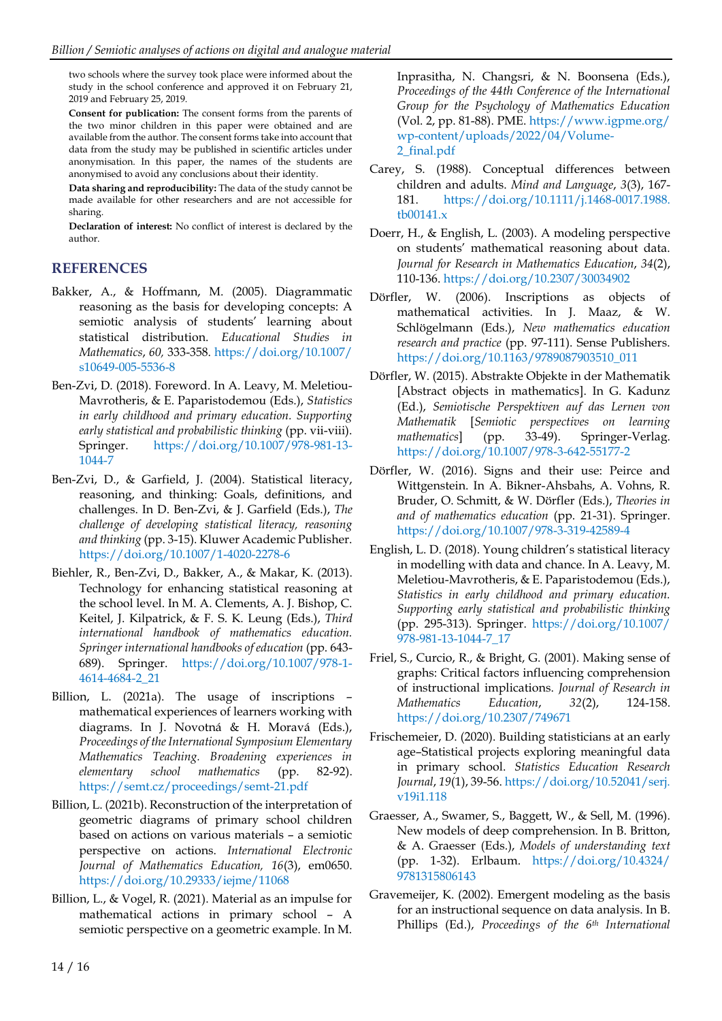two schools where the survey took place were informed about the study in the school conference and approved it on February 21, 2019 and February 25, 2019.

**Consent for publication:** The consent forms from the parents of the two minor children in this paper were obtained and are available from the author. The consent forms take into account that data from the study may be published in scientific articles under anonymisation. In this paper, the names of the students are anonymised to avoid any conclusions about their identity.

**Data sharing and reproducibility:** The data of the study cannot be made available for other researchers and are not accessible for sharing.

**Declaration of interest:** No conflict of interest is declared by the author.

## **REFERENCES**

- Bakker, A., & Hoffmann, M. (2005). Diagrammatic reasoning as the basis for developing concepts: A semiotic analysis of students' learning about statistical distribution. *Educational Studies in Mathematics*, *60,* 333-358. [https://doi.org/10.1007/](https://doi.org/10.1007/s10649-005-5536-8) [s10649-005-5536-8](https://doi.org/10.1007/s10649-005-5536-8)
- Ben-Zvi, D. (2018). Foreword. In A. Leavy, M. Meletiou-Mavrotheris, & E. Paparistodemou (Eds.), *Statistics in early childhood and primary education. Supporting early statistical and probabilistic thinking* (pp. vii-viii). Springer. [https://doi.org/10.1007/978-981-13-](https://doi.org/10.1007/978-981-13-1044-7) [1044-7](https://doi.org/10.1007/978-981-13-1044-7)
- Ben-Zvi, D., & Garfield, J. (2004). Statistical literacy, reasoning, and thinking: Goals, definitions, and challenges. In D. Ben-Zvi, & J. Garfield (Eds.), *The challenge of developing statistical literacy, reasoning and thinking* (pp. 3-15). Kluwer Academic Publisher. <https://doi.org/10.1007/1-4020-2278-6>
- Biehler, R., Ben-Zvi, D., Bakker, A., & Makar, K. (2013). Technology for enhancing statistical reasoning at the school level. In M. A. Clements, A. J. Bishop, C. Keitel, J. Kilpatrick, & F. S. K. Leung (Eds.), *Third international handbook of mathematics education. Springer international handbooks of education* (pp. 643- 689). Springer. [https://doi.org/10.1007/978-1-](https://doi.org/10.1007/978-1-4614-4684-2_21) [4614-4684-2\\_21](https://doi.org/10.1007/978-1-4614-4684-2_21)
- Billion, L. (2021a). The usage of inscriptions mathematical experiences of learners working with diagrams. In J. Novotná & H. Moravá (Eds.), *Proceedings of the International Symposium Elementary Mathematics Teaching. Broadening experiences in elementary school mathematics* (pp. 82-92). <https://semt.cz/proceedings/semt-21.pdf>
- Billion, L. (2021b). Reconstruction of the interpretation of geometric diagrams of primary school children based on actions on various materials – a semiotic perspective on actions. *International Electronic Journal of Mathematics Education, 16*(3), em0650. <https://doi.org/10.29333/iejme/11068>
- Billion, L., & Vogel, R. (2021). Material as an impulse for mathematical actions in primary school – A semiotic perspective on a geometric example. In M.

Inprasitha, N. Changsri, & N. Boonsena (Eds.), *Proceedings of the 44th Conference of the International Group for the Psychology of Mathematics Education* (Vol. 2, pp. 81-88). PME[. https://www.igpme.org/](https://www.igpme.org/wp-content/uploads/2022/04/Volume-2_final.pdf) [wp-content/uploads/2022/04/Volume-](https://www.igpme.org/wp-content/uploads/2022/04/Volume-2_final.pdf)[2\\_final.pdf](https://www.igpme.org/wp-content/uploads/2022/04/Volume-2_final.pdf)

- Carey, S. (1988). Conceptual differences between children and adults. *Mind and Language*, *3*(3), 167- 181. [https://doi.org/10.1111/j.1468-0017.1988.](https://doi.org/10.1111/j.1468-0017.1988.tb00141.x) [tb00141.x](https://doi.org/10.1111/j.1468-0017.1988.tb00141.x)
- Doerr, H., & English, L. (2003). A modeling perspective on students' mathematical reasoning about data. *Journal for Research in Mathematics Education*, *34*(2), 110-136. <https://doi.org/10.2307/30034902>
- Dörfler, W. (2006). Inscriptions as objects of mathematical activities. In J. Maaz, & W. Schlögelmann (Eds.), *New mathematics education research and practice* (pp. 97-111). Sense Publishers. [https://doi.org/10.1163/9789087903510\\_011](https://doi.org/10.1163/9789087903510_011)
- Dörfler, W. (2015). Abstrakte Objekte in der Mathematik [Abstract objects in mathematics]. In G. Kadunz (Ed.), *Semiotische Perspektiven auf das Lernen von Mathematik* [*Semiotic perspectives on learning mathematics*] (pp. 33-49). Springer-Verlag. <https://doi.org/10.1007/978-3-642-55177-2>
- Dörfler, W. (2016). Signs and their use: Peirce and Wittgenstein. In A. Bikner-Ahsbahs, A. Vohns, R. Bruder, O. Schmitt, & W. Dörfler (Eds.), *Theories in and of mathematics education* (pp. 21-31). Springer. <https://doi.org/10.1007/978-3-319-42589-4>
- English, L. D. (2018). Young children's statistical literacy in modelling with data and chance. In A. Leavy, M. Meletiou-Mavrotheris, & E. Paparistodemou (Eds.), *Statistics in early childhood and primary education. Supporting early statistical and probabilistic thinking* (pp. 295-313). Springer. [https://doi.org/10.1007/](https://doi.org/10.1007/978-981-13-1044-7_17) [978-981-13-1044-7\\_17](https://doi.org/10.1007/978-981-13-1044-7_17)
- Friel, S., Curcio, R., & Bright, G. (2001). Making sense of graphs: Critical factors influencing comprehension of instructional implications. *Journal of Research in Mathematics Education*, *32*(2), 124-158. <https://doi.org/10.2307/749671>
- Frischemeier, D. (2020). Building statisticians at an early age–Statistical projects exploring meaningful data in primary school. *Statistics Education Research Journal*, *19*(1), 39-56. [https://doi.org/10.52041/serj.](https://doi.org/10.52041/serj.v19i1.118) [v19i1.118](https://doi.org/10.52041/serj.v19i1.118)
- Graesser, A., Swamer, S., Baggett, W., & Sell, M. (1996). New models of deep comprehension. In B. Britton, & A. Graesser (Eds.), *Models of understanding text* (pp. 1-32). Erlbaum. [https://doi.org/10.4324/](https://doi.org/10.4324/9781315806143) [9781315806143](https://doi.org/10.4324/9781315806143)
- Gravemeijer, K. (2002). Emergent modeling as the basis for an instructional sequence on data analysis. In B. Phillips (Ed.), *Proceedings of the 6 th International*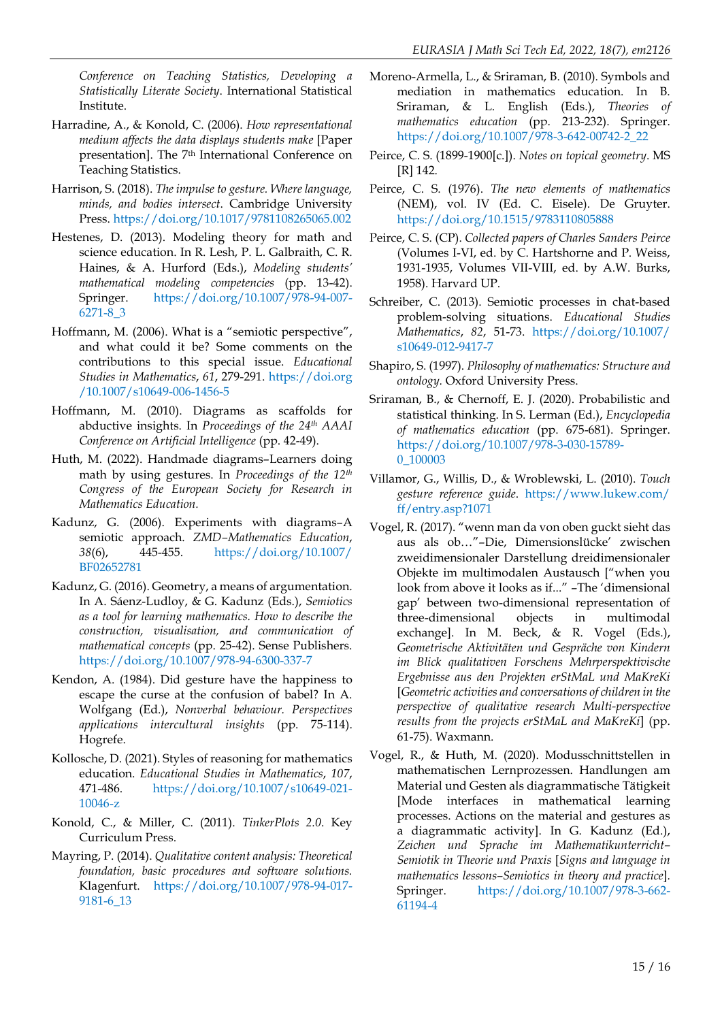*Conference on Teaching Statistics, Developing a Statistically Literate Society*. International Statistical Institute.

- Harradine, A., & Konold, C. (2006). *How representational medium affects the data displays students make* [Paper presentation]. The 7<sup>th</sup> International Conference on Teaching Statistics.
- Harrison, S. (2018). *The impulse to gesture. Where language, minds, and bodies intersect*. Cambridge University Press. <https://doi.org/10.1017/9781108265065.002>
- Hestenes, D. (2013). Modeling theory for math and science education. In R. Lesh, P. L. Galbraith, C. R. Haines, & A. Hurford (Eds.), *Modeling students' mathematical modeling competencies* (pp. 13-42). Springer. [https://doi.org/10.1007/978-94-007-](https://doi.org/10.1007/978-94-007-6271-8_3) [6271-8\\_3](https://doi.org/10.1007/978-94-007-6271-8_3)
- Hoffmann, M. (2006). What is a "semiotic perspective", and what could it be? Some comments on the contributions to this special issue. *Educational Studies in Mathematics*, *61*, 279-291. [https://doi.org](https://doi.org/10.1007/s10649-006-1456-5) [/10.1007/s10649-006-1456-5](https://doi.org/10.1007/s10649-006-1456-5)
- Hoffmann, M. (2010). Diagrams as scaffolds for abductive insights. In *Proceedings of the 24th AAAI Conference on Artificial Intelligence* (pp. 42-49).
- Huth, M. (2022). Handmade diagrams–Learners doing math by using gestures. In *Proceedings of the 12th Congress of the European Society for Research in Mathematics Education.*
- Kadunz, G. (2006). Experiments with diagrams–A semiotic approach. *ZMD–Mathematics Education*, *38*(6), 445-455. [https://doi.org/10.1007/](https://doi.org/10.1007/BF02652781) [BF02652781](https://doi.org/10.1007/BF02652781)
- Kadunz, G. (2016). Geometry, a means of argumentation. In A. Sáenz-Ludloy, & G. Kadunz (Eds.), *Semiotics as a tool for learning mathematics. How to describe the construction, visualisation, and communication of mathematical concepts* (pp. 25-42). Sense Publishers. <https://doi.org/10.1007/978-94-6300-337-7>
- Kendon, A. (1984). Did gesture have the happiness to escape the curse at the confusion of babel? In A. Wolfgang (Ed.), *Nonverbal behaviour. Perspectives applications intercultural insights* (pp. 75-114). Hogrefe.
- Kollosche, D. (2021). Styles of reasoning for mathematics education. *Educational Studies in Mathematics*, *107*, 471-486. [https://doi.org/10.1007/s10649-021-](https://doi.org/10.1007/s10649-021-10046-z) [10046-z](https://doi.org/10.1007/s10649-021-10046-z)
- Konold, C., & Miller, C. (2011). *TinkerPlots 2.0*. Key Curriculum Press.
- Mayring, P. (2014). *Qualitative content analysis: Theoretical foundation, basic procedures and software solutions.* Klagenfurt. [https://doi.org/10.1007/978-94-017-](https://doi.org/10.1007/978-94-017-9181-6_13) [9181-6\\_13](https://doi.org/10.1007/978-94-017-9181-6_13)
- Moreno-Armella, L., & Sriraman, B. (2010). Symbols and mediation in mathematics education. In B. Sriraman, & L. English (Eds.), *Theories of mathematics education* (pp. 213-232). Springer. [https://doi.org/10.1007/978-3-642-00742-2\\_22](https://doi.org/10.1007/978-3-642-00742-2_22)
- Peirce, C. S. (1899-1900[c.]). *Notes on topical geometry*. MS [R] 142.
- Peirce, C. S. (1976). *The new elements of mathematics* (NEM), vol. IV (Ed. C. Eisele). De Gruyter. <https://doi.org/10.1515/9783110805888>
- Peirce, C. S. (CP). *Collected papers of Charles Sanders Peirce* (Volumes I-VI, ed. by C. Hartshorne and P. Weiss, 1931-1935, Volumes VII-VIII, ed. by A.W. Burks, 1958). Harvard UP.
- Schreiber, C. (2013). Semiotic processes in chat-based problem-solving situations. *Educational Studies Mathematics*, *82*, 51-73. [https://doi.org/10.1007/](https://doi.org/10.1007/s10649-012-9417-7) [s10649-012-9417-7](https://doi.org/10.1007/s10649-012-9417-7)
- Shapiro, S. (1997). *Philosophy of mathematics: Structure and ontology.* Oxford University Press.
- Sriraman, B., & Chernoff, E. J. (2020). Probabilistic and statistical thinking. In S. Lerman (Ed.), *Encyclopedia of mathematics education* (pp. 675-681). Springer. [https://doi.org/10.1007/978-3-030-15789-](https://doi.org/10.1007/978-3-030-15789-0_100003) 0 100003
- Villamor, G., Willis, D., & Wroblewski, L. (2010). *Touch gesture reference guide*. [https://www.lukew.com/](https://www.lukew.com/ff/entry.asp?1071) [ff/entry.asp?1071](https://www.lukew.com/ff/entry.asp?1071)
- Vogel, R. (2017). "wenn man da von oben guckt sieht das aus als ob…"–Die, Dimensionslücke' zwischen zweidimensionaler Darstellung dreidimensionaler Objekte im multimodalen Austausch ["when you look from above it looks as if..." –The 'dimensional gap' between two-dimensional representation of three-dimensional objects in multimodal exchange]. In M. Beck, & R. Vogel (Eds.), *Geometrische Aktivitäten und Gespräche von Kindern im Blick qualitativen Forschens Mehrperspektivische Ergebnisse aus den Projekten erStMaL und MaKreKi* [*Geometric activities and conversations of children in the perspective of qualitative research Multi-perspective results from the projects erStMaL and MaKreKi*] (pp. 61-75). Waxmann.
- Vogel, R., & Huth, M. (2020). Modusschnittstellen in mathematischen Lernprozessen. Handlungen am Material und Gesten als diagrammatische Tätigkeit [Mode interfaces in mathematical learning processes. Actions on the material and gestures as a diagrammatic activity]. In G. Kadunz (Ed.), *Zeichen und Sprache im Mathematikunterricht– Semiotik in Theorie und Praxis* [*Signs and language in mathematics lessons–Semiotics in theory and practice*]*.* Springer. [https://doi.org/10.1007/978-3-662-](https://doi.org/10.1007/978-3-662-61194-4) [61194-4](https://doi.org/10.1007/978-3-662-61194-4)